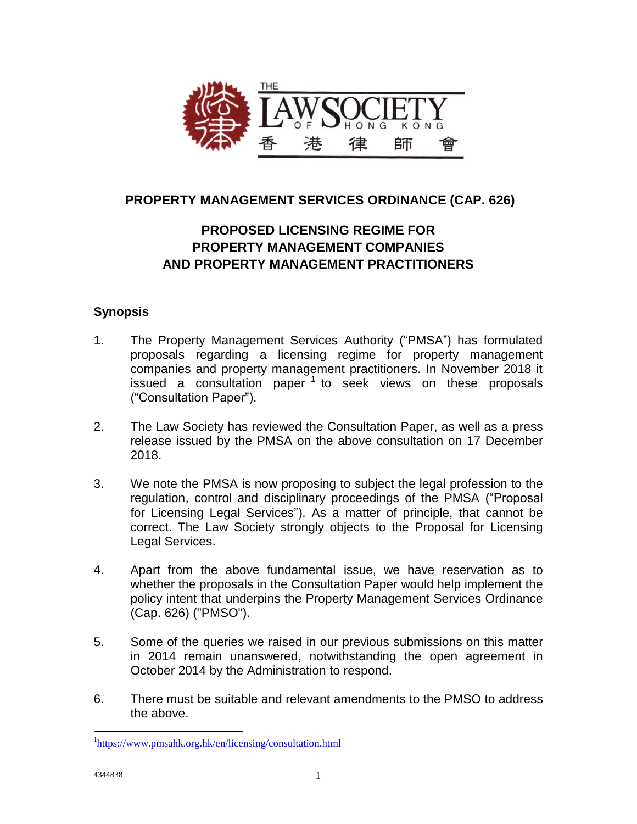

## **PROPERTY MANAGEMENT SERVICES ORDINANCE (CAP. 626)**

# **PROPOSED LICENSING REGIME FOR PROPERTY MANAGEMENT COMPANIES AND PROPERTY MANAGEMENT PRACTITIONERS**

### **Synopsis**

- 1. The Property Management Services Authority ("PMSA") has formulated proposals regarding a licensing regime for property management companies and property management practitioners. In November 2018 it issued a consultation paper  $1$  to seek views on these proposals ("Consultation Paper").
- 2. The Law Society has reviewed the Consultation Paper, as well as a press release issued by the PMSA on the above consultation on 17 December 2018.
- 3. We note the PMSA is now proposing to subject the legal profession to the regulation, control and disciplinary proceedings of the PMSA ("Proposal for Licensing Legal Services"). As a matter of principle, that cannot be correct. The Law Society strongly objects to the Proposal for Licensing Legal Services.
- 4. Apart from the above fundamental issue, we have reservation as to whether the proposals in the Consultation Paper would help implement the policy intent that underpins the Property Management Services Ordinance (Cap. 626) ("PMSO").
- 5. Some of the queries we raised in our previous submissions on this matter in 2014 remain unanswered, notwithstanding the open agreement in October 2014 by the Administration to respond.
- 6. There must be suitable and relevant amendments to the PMSO to address the above.

 $\overline{a}$ 

<sup>&</sup>lt;sup>1</sup><https://www.pmsahk.org.hk/en/licensing/consultation.html>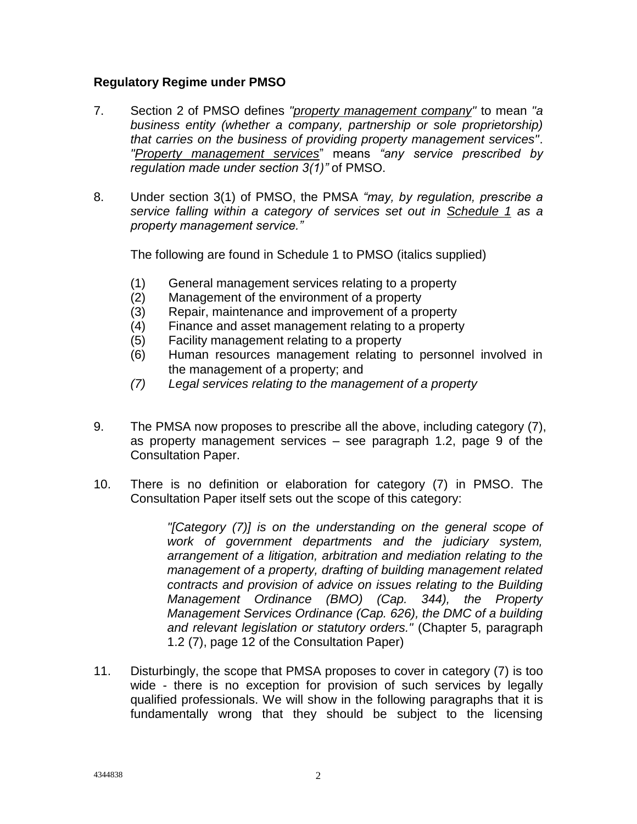#### **Regulatory Regime under PMSO**

- 7. Section 2 of PMSO defines *"property management company"* to mean *"a business entity (whether a company, partnership or sole proprietorship) that carries on the business of providing property management services"*. *"Property management services*" means *"any service prescribed by regulation made under section 3(1)"* of PMSO.
- 8. Under section 3(1) of PMSO, the PMSA *"may, by regulation, prescribe a service falling within a category of services set out in Schedule 1 as a property management service."*

The following are found in Schedule 1 to PMSO (italics supplied)

- (1) General management services relating to a property
- (2) Management of the environment of a property
- (3) Repair, maintenance and improvement of a property
- (4) Finance and asset management relating to a property
- (5) Facility management relating to a property
- (6) Human resources management relating to personnel involved in the management of a property; and
- *(7) Legal services relating to the management of a property*
- 9. The PMSA now proposes to prescribe all the above, including category (7), as property management services – see paragraph 1.2, page 9 of the Consultation Paper.
- 10. There is no definition or elaboration for category (7) in PMSO. The Consultation Paper itself sets out the scope of this category:

*"[Category (7)] is on the understanding on the general scope of work of government departments and the judiciary system, arrangement of a litigation, arbitration and mediation relating to the management of a property, drafting of building management related contracts and provision of advice on issues relating to the Building Management Ordinance (BMO) (Cap. 344), the Property Management Services Ordinance (Cap. 626), the DMC of a building and relevant legislation or statutory orders."* (Chapter 5, paragraph 1.2 (7), page 12 of the Consultation Paper)

11. Disturbingly, the scope that PMSA proposes to cover in category (7) is too wide - there is no exception for provision of such services by legally qualified professionals. We will show in the following paragraphs that it is fundamentally wrong that they should be subject to the licensing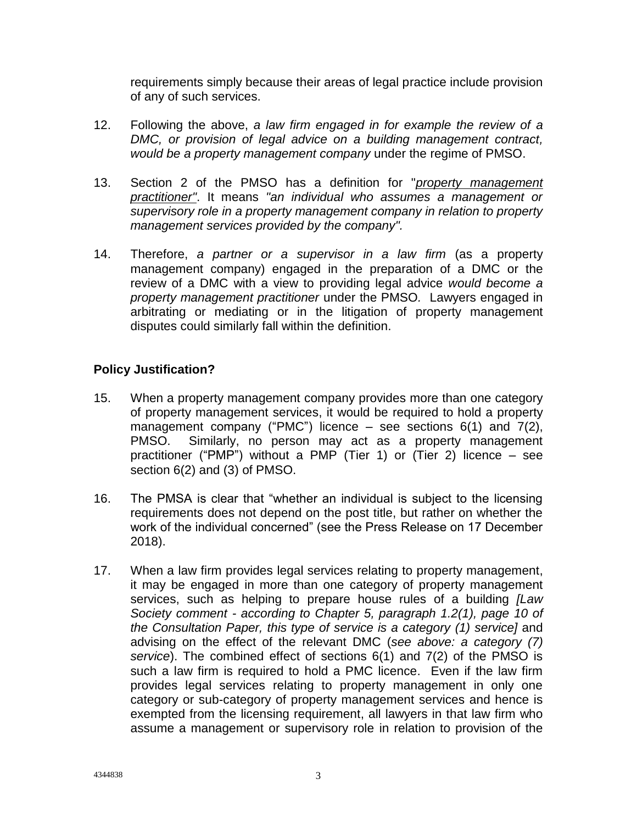requirements simply because their areas of legal practice include provision of any of such services.

- 12. Following the above, *a law firm engaged in for example the review of a DMC, or provision of legal advice on a building management contract, would be a property management company* under the regime of PMSO.
- 13. Section 2 of the PMSO has a definition for "*property management practitioner"*. It means *"an individual who assumes a management or supervisory role in a property management company in relation to property management services provided by the company".*
- 14. Therefore, *a partner or a supervisor in a law firm* (as a property management company) engaged in the preparation of a DMC or the review of a DMC with a view to providing legal advice *would become a property management practitioner* under the PMSO*.* Lawyers engaged in arbitrating or mediating or in the litigation of property management disputes could similarly fall within the definition.

### **Policy Justification?**

- 15. When a property management company provides more than one category of property management services, it would be required to hold a property management company ("PMC") licence  $-$  see sections 6(1) and 7(2), PMSO. Similarly, no person may act as a property management practitioner ("PMP") without a PMP (Tier 1) or (Tier 2) licence – see section 6(2) and (3) of PMSO.
- 16. The PMSA is clear that "whether an individual is subject to the licensing requirements does not depend on the post title, but rather on whether the work of the individual concerned" (see the Press Release on 17 December 2018).
- 17. When a law firm provides legal services relating to property management, it may be engaged in more than one category of property management services, such as helping to prepare house rules of a building *[Law Society comment - according to Chapter 5, paragraph 1.2(1), page 10 of the Consultation Paper, this type of service is a category (1) service]* and advising on the effect of the relevant DMC (*see above: a category (7) service*). The combined effect of sections 6(1) and 7(2) of the PMSO is such a law firm is required to hold a PMC licence. Even if the law firm provides legal services relating to property management in only one category or sub-category of property management services and hence is exempted from the licensing requirement, all lawyers in that law firm who assume a management or supervisory role in relation to provision of the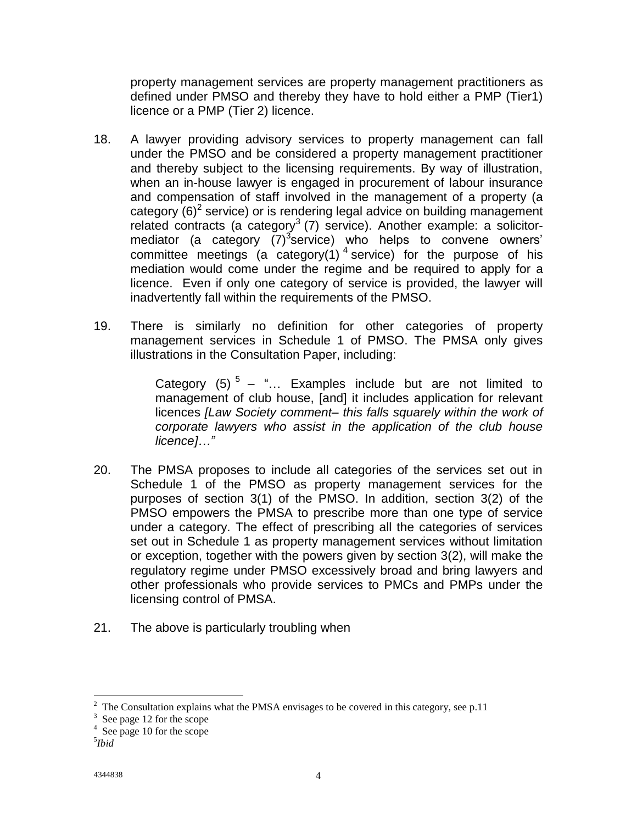property management services are property management practitioners as defined under PMSO and thereby they have to hold either a PMP (Tier1) licence or a PMP (Tier 2) licence.

- 18. A lawyer providing advisory services to property management can fall under the PMSO and be considered a property management practitioner and thereby subject to the licensing requirements. By way of illustration, when an in-house lawyer is engaged in procurement of labour insurance and compensation of staff involved in the management of a property (a category  $(6)^2$  service) or is rendering legal advice on building management related contracts (a category<sup>3</sup> (7) service). Another example: a solicitormediator (a category  $(7)^3$ service) who helps to convene owners' committee meetings (a category(1)<sup>4</sup> service) for the purpose of his mediation would come under the regime and be required to apply for a licence. Even if only one category of service is provided, the lawyer will inadvertently fall within the requirements of the PMSO.
- 19. There is similarly no definition for other categories of property management services in Schedule 1 of PMSO. The PMSA only gives illustrations in the Consultation Paper, including:

Category (5)  $5 -$  "... Examples include but are not limited to management of club house, [and] it includes application for relevant licences *[Law Society comment– this falls squarely within the work of corporate lawyers who assist in the application of the club house licence]…"*

- 20. The PMSA proposes to include all categories of the services set out in Schedule 1 of the PMSO as property management services for the purposes of section 3(1) of the PMSO. In addition, section 3(2) of the PMSO empowers the PMSA to prescribe more than one type of service under a category. The effect of prescribing all the categories of services set out in Schedule 1 as property management services without limitation or exception, together with the powers given by section 3(2), will make the regulatory regime under PMSO excessively broad and bring lawyers and other professionals who provide services to PMCs and PMPs under the licensing control of PMSA.
- 21. The above is particularly troubling when

<sup>&</sup>lt;sup>2</sup> The Consultation explains what the PMSA envisages to be covered in this category, see p.11

<sup>&</sup>lt;sup>3</sup> See page 12 for the scope

<sup>4</sup> See page 10 for the scope

<sup>5</sup> *Ibid*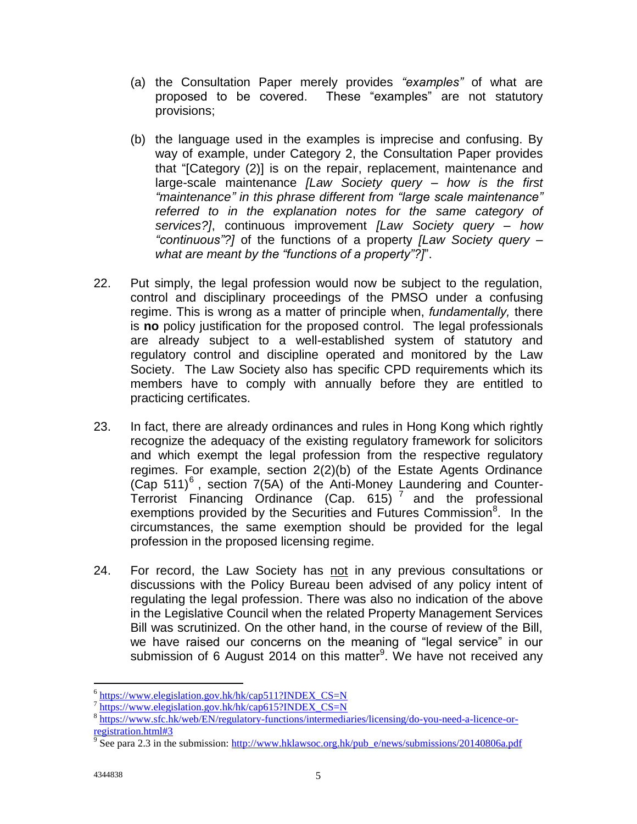- (a) the Consultation Paper merely provides *"examples"* of what are proposed to be covered. These "examples" are not statutory provisions;
- (b) the language used in the examples is imprecise and confusing. By way of example, under Category 2, the Consultation Paper provides that "[Category (2)] is on the repair, replacement, maintenance and large-scale maintenance *[Law Society query – how is the first "maintenance" in this phrase different from "large scale maintenance" referred to in the explanation notes for the same category of services?]*, continuous improvement *[Law Society query – how "continuous"?]* of the functions of a property *[Law Society query – what are meant by the "functions of a property"?]*".
- 22. Put simply, the legal profession would now be subject to the regulation, control and disciplinary proceedings of the PMSO under a confusing regime. This is wrong as a matter of principle when, *fundamentally,* there is **no** policy justification for the proposed control. The legal professionals are already subject to a well-established system of statutory and regulatory control and discipline operated and monitored by the Law Society. The Law Society also has specific CPD requirements which its members have to comply with annually before they are entitled to practicing certificates.
- 23. In fact, there are already ordinances and rules in Hong Kong which rightly recognize the adequacy of the existing regulatory framework for solicitors and which exempt the legal profession from the respective regulatory regimes. For example, section 2(2)(b) of the Estate Agents Ordinance (Cap  $511$ )<sup>6</sup>, section 7(5A) of the Anti-Money Laundering and Counter-Terrorist Financing Ordinance (Cap. 615)<sup>7</sup> and the professional exemptions provided by the Securities and Futures Commission<sup>8</sup>. In the circumstances, the same exemption should be provided for the legal profession in the proposed licensing regime.
- 24. For record, the Law Society has not in any previous consultations or discussions with the Policy Bureau been advised of any policy intent of regulating the legal profession. There was also no indication of the above in the Legislative Council when the related Property Management Services Bill was scrutinized. On the other hand, in the course of review of the Bill, we have raised our concerns on the meaning of "legal service" in our submission of 6 August 2014 on this matter<sup>9</sup>. We have not received any

 6 [https://www.elegislation.gov.hk/hk/cap511?INDEX\\_CS=N](https://www.elegislation.gov.hk/hk/cap511?INDEX_CS=N)

<sup>&</sup>lt;sup>7</sup> [https://www.elegislation.gov.hk/hk/cap615?INDEX\\_CS=N](https://www.elegislation.gov.hk/hk/cap615?INDEX_CS=N)

<sup>&</sup>lt;sup>8</sup> [https://www.sfc.hk/web/EN/regulatory-functions/intermediaries/licensing/do-you-need-a-licence-or](https://www.sfc.hk/web/EN/regulatory-functions/intermediaries/licensing/do-you-need-a-licence-or-registration.html%233)[registration.html#3](https://www.sfc.hk/web/EN/regulatory-functions/intermediaries/licensing/do-you-need-a-licence-or-registration.html%233)

<sup>&</sup>lt;sup>9</sup> See para 2.3 in the submission: [http://www.hklawsoc.org.hk/pub\\_e/news/submissions/20140806a.pdf](http://www.hklawsoc.org.hk/pub_e/news/submissions/20140806a.pdf)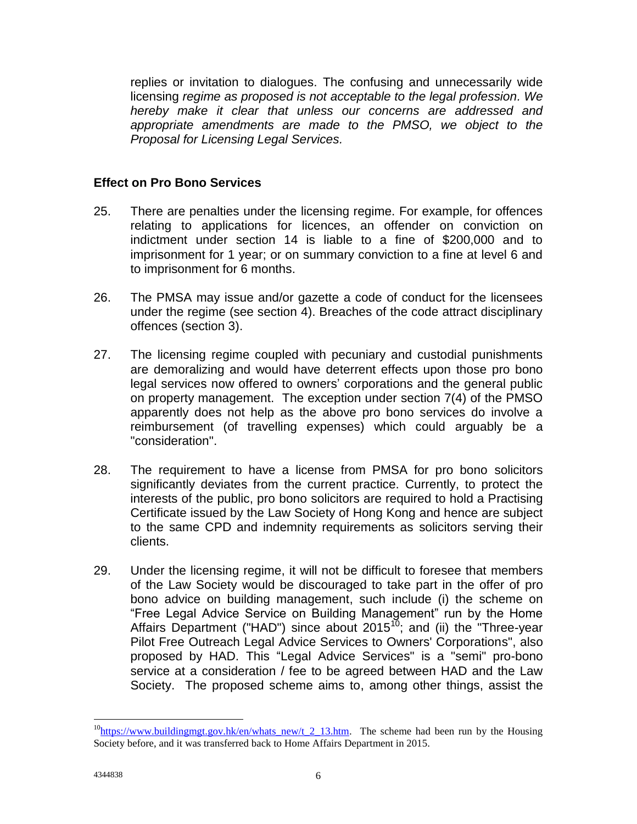replies or invitation to dialogues. The confusing and unnecessarily wide licensing *regime as proposed is not acceptable to the legal profession. We hereby make it clear that unless our concerns are addressed and appropriate amendments are made to the PMSO, we object to the Proposal for Licensing Legal Services.* 

### **Effect on Pro Bono Services**

- 25. There are penalties under the licensing regime. For example, for offences relating to applications for licences, an offender on conviction on indictment under section 14 is liable to a fine of \$200,000 and to imprisonment for 1 year; or on summary conviction to a fine at level 6 and to imprisonment for 6 months.
- 26. The PMSA may issue and/or gazette a code of conduct for the licensees under the regime (see section 4). Breaches of the code attract disciplinary offences (section 3).
- 27. The licensing regime coupled with pecuniary and custodial punishments are demoralizing and would have deterrent effects upon those pro bono legal services now offered to owners' corporations and the general public on property management. The exception under section 7(4) of the PMSO apparently does not help as the above pro bono services do involve a reimbursement (of travelling expenses) which could arguably be a "consideration".
- 28. The requirement to have a license from PMSA for pro bono solicitors significantly deviates from the current practice. Currently, to protect the interests of the public, pro bono solicitors are required to hold a Practising Certificate issued by the Law Society of Hong Kong and hence are subject to the same CPD and indemnity requirements as solicitors serving their clients.
- 29. Under the licensing regime, it will not be difficult to foresee that members of the Law Society would be discouraged to take part in the offer of pro bono advice on building management, such include (i) the scheme on "Free Legal Advice Service on Building Management" run by the Home Affairs Department ("HAD") since about 2015 $^{10}$ ; and (ii) the "Three-year Pilot Free Outreach Legal Advice Services to Owners' Corporations", also proposed by HAD. This "Legal Advice Services" is a "semi" pro-bono service at a consideration / fee to be agreed between HAD and the Law Society. The proposed scheme aims to, among other things, assist the

 $\overline{a}$ 

 $10$ [https://www.buildingmgt.gov.hk/en/whats\\_new/t\\_2\\_13.htm.](https://www.buildingmgt.gov.hk/en/whats_new/t_2_13.htm) The scheme had been run by the Housing Society before, and it was transferred back to Home Affairs Department in 2015.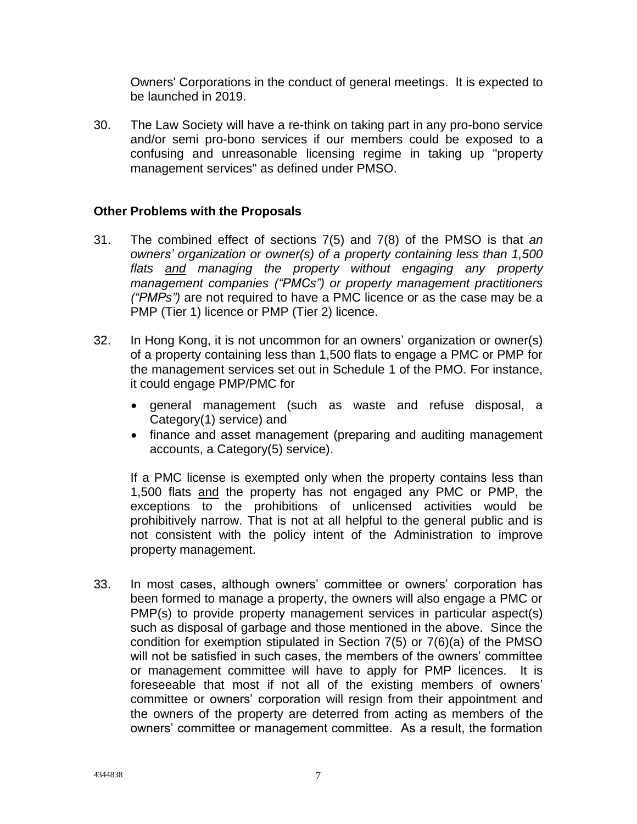Owners' Corporations in the conduct of general meetings. It is expected to be launched in 2019.

30. The Law Society will have a re-think on taking part in any pro-bono service and/or semi pro-bono services if our members could be exposed to a confusing and unreasonable licensing regime in taking up "property management services" as defined under PMSO.

#### **Other Problems with the Proposals**

- 31. The combined effect of sections 7(5) and 7(8) of the PMSO is that *an owners' organization or owner(s) of a property containing less than 1,500 flats and managing the property without engaging any property management companies ("PMCs") or property management practitioners ("PMPs")* are not required to have a PMC licence or as the case may be a PMP (Tier 1) licence or PMP (Tier 2) licence.
- 32. In Hong Kong, it is not uncommon for an owners' organization or owner(s) of a property containing less than 1,500 flats to engage a PMC or PMP for the management services set out in Schedule 1 of the PMO. For instance, it could engage PMP/PMC for
	- general management (such as waste and refuse disposal, a Category(1) service) and
	- finance and asset management (preparing and auditing management accounts, a Category(5) service).

If a PMC license is exempted only when the property contains less than 1,500 flats and the property has not engaged any PMC or PMP, the exceptions to the prohibitions of unlicensed activities would be prohibitively narrow. That is not at all helpful to the general public and is not consistent with the policy intent of the Administration to improve property management.

33. In most cases, although owners' committee or owners' corporation has been formed to manage a property, the owners will also engage a PMC or PMP(s) to provide property management services in particular aspect(s) such as disposal of garbage and those mentioned in the above. Since the condition for exemption stipulated in Section 7(5) or 7(6)(a) of the PMSO will not be satisfied in such cases, the members of the owners' committee or management committee will have to apply for PMP licences. It is foreseeable that most if not all of the existing members of owners' committee or owners' corporation will resign from their appointment and the owners of the property are deterred from acting as members of the owners' committee or management committee. As a result, the formation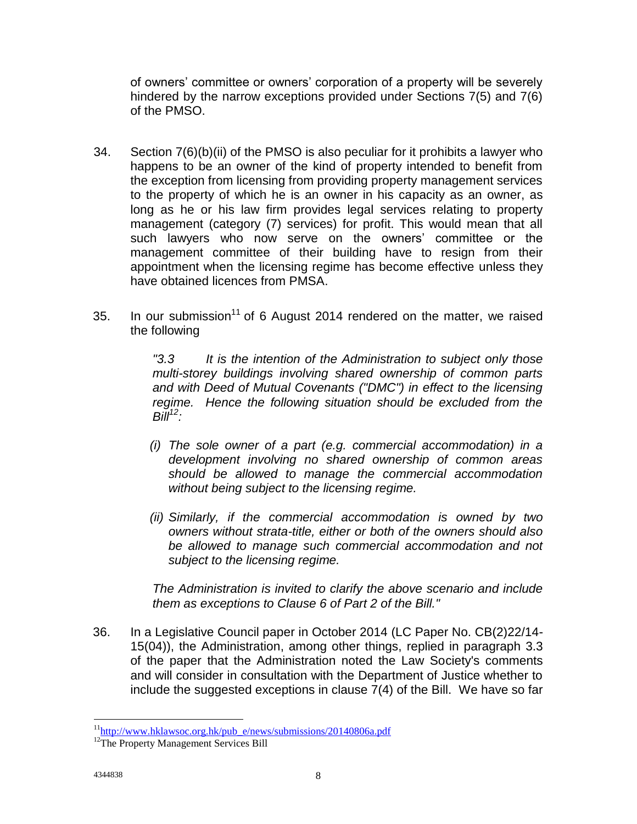of owners' committee or owners' corporation of a property will be severely hindered by the narrow exceptions provided under Sections 7(5) and 7(6) of the PMSO.

- 34. Section 7(6)(b)(ii) of the PMSO is also peculiar for it prohibits a lawyer who happens to be an owner of the kind of property intended to benefit from the exception from licensing from providing property management services to the property of which he is an owner in his capacity as an owner, as long as he or his law firm provides legal services relating to property management (category (7) services) for profit. This would mean that all such lawyers who now serve on the owners' committee or the management committee of their building have to resign from their appointment when the licensing regime has become effective unless they have obtained licences from PMSA.
- 35. In our submission<sup>11</sup> of 6 August 2014 rendered on the matter, we raised the following

*"3.3 It is the intention of the Administration to subject only those multi-storey buildings involving shared ownership of common parts and with Deed of Mutual Covenants ("DMC") in effect to the licensing regime. Hence the following situation should be excluded from the Bill<sup>12</sup>:*

- *(i) The sole owner of a part (e.g. commercial accommodation) in a development involving no shared ownership of common areas should be allowed to manage the commercial accommodation without being subject to the licensing regime.*
- *(ii) Similarly, if the commercial accommodation is owned by two owners without strata-title, either or both of the owners should also be allowed to manage such commercial accommodation and not subject to the licensing regime.*

*The Administration is invited to clarify the above scenario and include them as exceptions to Clause 6 of Part 2 of the Bill."*

36. In a Legislative Council paper in October 2014 (LC Paper No. CB(2)22/14- 15(04)), the Administration, among other things, replied in paragraph 3.3 of the paper that the Administration noted the Law Society's comments and will consider in consultation with the Department of Justice whether to include the suggested exceptions in clause  $7(4)$  of the Bill. We have so far

 $\overline{a}$ <sup>11</sup>[http://www.hklawsoc.org.hk/pub\\_e/news/submissions/20140806a.pdf](http://www.hklawsoc.org.hk/pub_e/news/submissions/20140806a.pdf)

<sup>&</sup>lt;sup>12</sup>The Property Management Services Bill